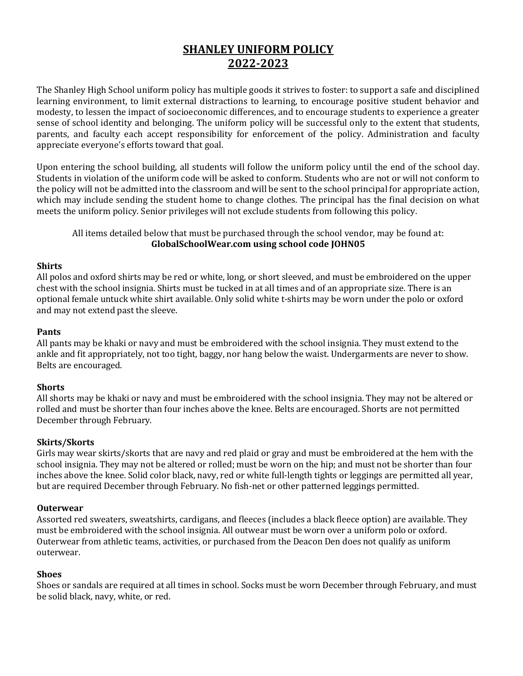# **SHANLEY UNIFORM POLICY 2022‐2023**

The Shanley High School uniform policy has multiple goods it strives to foster: to support a safe and disciplined learning environment, to limit external distractions to learning, to encourage positive student behavior and modesty, to lessen the impact of socioeconomic differences, and to encourage students to experience a greater sense of school identity and belonging. The uniform policy will be successful only to the extent that students, parents, and faculty each accept responsibility for enforcement of the policy. Administration and faculty appreciate everyone's efforts toward that goal.

Upon entering the school building, all students will follow the uniform policy until the end of the school day. Students in violation of the uniform code will be asked to conform. Students who are not or will not conform to the policy will not be admitted into the classroom and will be sent to the school principal for appropriate action, which may include sending the student home to change clothes. The principal has the final decision on what meets the uniform policy. Senior privileges will not exclude students from following this policy.

## All items detailed below that must be purchased through the school vendor, may be found at: **GlobalSchoolWear.com using school code JOHN05**

## **Shirts**

All polos and oxford shirts may be red or white, long, or short sleeved, and must be embroidered on the upper chest with the school insignia. Shirts must be tucked in at all times and of an appropriate size. There is an optional female untuck white shirt available. Only solid white t-shirts may be worn under the polo or oxford and may not extend past the sleeve.

## **Pants**

All pants may be khaki or navy and must be embroidered with the school insignia. They must extend to the ankle and fit appropriately, not too tight, baggy, nor hang below the waist. Undergarments are never to show. Belts are encouraged.

## **Shorts**

All shorts may be khaki or navy and must be embroidered with the school insignia. They may not be altered or rolled and must be shorter than four inches above the knee. Belts are encouraged. Shorts are not permitted December through February.

## **Skirts/Skorts**

Girls may wear skirts/skorts that are navy and red plaid or gray and must be embroidered at the hem with the school insignia. They may not be altered or rolled; must be worn on the hip; and must not be shorter than four inches above the knee. Solid color black, navy, red or white full-length tights or leggings are permitted all year, but are required December through February. No fish-net or other patterned leggings permitted.

## **Outerwear**

Assorted red sweaters, sweatshirts, cardigans, and fleeces (includes a black fleece option) are available. They must be embroidered with the school insignia. All outwear must be worn over a uniform polo or oxford. Outerwear from athletic teams, activities, or purchased from the Deacon Den does not qualify as uniform outerwear.

## **Shoes**

Shoes or sandals are required at all times in school. Socks must be worn December through February, and must be solid black, navy, white, or red.